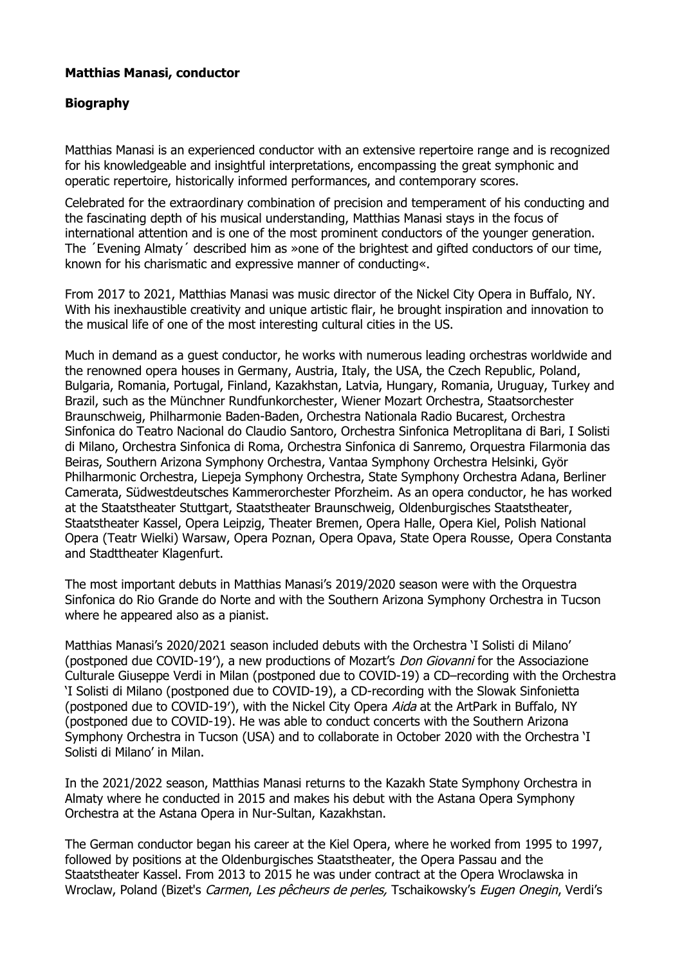## **Matthias Manasi, conductor**

## **Biography**

Matthias Manasi is an experienced conductor with an extensive repertoire range and is recognized for his knowledgeable and insightful interpretations, encompassing the great symphonic and operatic repertoire, historically informed performances, and contemporary scores.

Celebrated for the extraordinary combination of precision and temperament of his conducting and the fascinating depth of his musical understanding, Matthias Manasi stays in the focus of international attention and is one of the most prominent conductors of the younger generation. The ´Evening Almaty´ described him as »one of the brightest and gifted conductors of our time, known for his charismatic and expressive manner of conducting«.

From 2017 to 2021, Matthias Manasi was music director of the Nickel City Opera in Buffalo, NY. With his inexhaustible creativity and unique artistic flair, he brought inspiration and innovation to the musical life of one of the most interesting cultural cities in the US.

Much in demand as a guest conductor, he works with numerous leading orchestras worldwide and the renowned opera houses in Germany, Austria, Italy, the USA, the Czech Republic, Poland, Bulgaria, Romania, Portugal, Finland, Kazakhstan, Latvia, Hungary, Romania, Uruguay, Turkey and Brazil, such as the Münchner Rundfunkorchester, Wiener Mozart Orchestra, Staatsorchester Braunschweig, Philharmonie Baden-Baden, Orchestra Nationala Radio Bucarest, Orchestra Sinfonica do Teatro Nacional do Claudio Santoro, Orchestra Sinfonica Metroplitana di Bari, I Solisti di Milano, Orchestra Sinfonica di Roma, Orchestra Sinfonica di Sanremo, Orquestra Filarmonia das Beiras, Southern Arizona Symphony Orchestra, Vantaa Symphony Orchestra Helsinki, Györ Philharmonic Orchestra, Liepeja Symphony Orchestra, State Symphony Orchestra Adana, Berliner Camerata, Südwestdeutsches Kammerorchester Pforzheim. As an opera conductor, he has worked at the Staatstheater Stuttgart, Staatstheater Braunschweig, Oldenburgisches Staatstheater, Staatstheater Kassel, Opera Leipzig, Theater Bremen, Opera Halle, Opera Kiel, Polish National Opera (Teatr Wielki) Warsaw, Opera Poznan, Opera Opava, State Opera Rousse, Opera Constanta and Stadttheater Klagenfurt.

The most important debuts in Matthias Manasi's 2019/2020 season were with the Orquestra Sinfonica do Rio Grande do Norte and with the Southern Arizona Symphony Orchestra in Tucson where he appeared also as a pianist.

Matthias Manasi's 2020/2021 season included debuts with the Orchestra 'I Solisti di Milano' (postponed due COVID-19′), a new productions of Mozart's Don Giovanni for the Associazione Culturale Giuseppe Verdi in Milan (postponed due to COVID-19) a CD–recording with the Orchestra 'I Solisti di Milano (postponed due to COVID-19), a CD-recording with the Slowak Sinfonietta (postponed due to COVID-19′), with the Nickel City Opera Aida at the ArtPark in Buffalo, NY (postponed due to COVID-19). He was able to conduct concerts with the Southern Arizona Symphony Orchestra in Tucson (USA) and to collaborate in October 2020 with the Orchestra 'I Solisti di Milano' in Milan.

In the 2021/2022 season, Matthias Manasi returns to the Kazakh State Symphony Orchestra in Almaty where he conducted in 2015 and makes his debut with the Astana Opera Symphony Orchestra at the Astana Opera in Nur-Sultan, Kazakhstan.

The German conductor began his career at the Kiel Opera, where he worked from 1995 to 1997, followed by positions at the Oldenburgisches Staatstheater, the Opera Passau and the Staatstheater Kassel. From 2013 to 2015 he was under contract at the Opera Wroclawska in Wroclaw, Poland (Bizet's Carmen, Les pêcheurs de perles, Tschaikowsky's Eugen Onegin, Verdi's